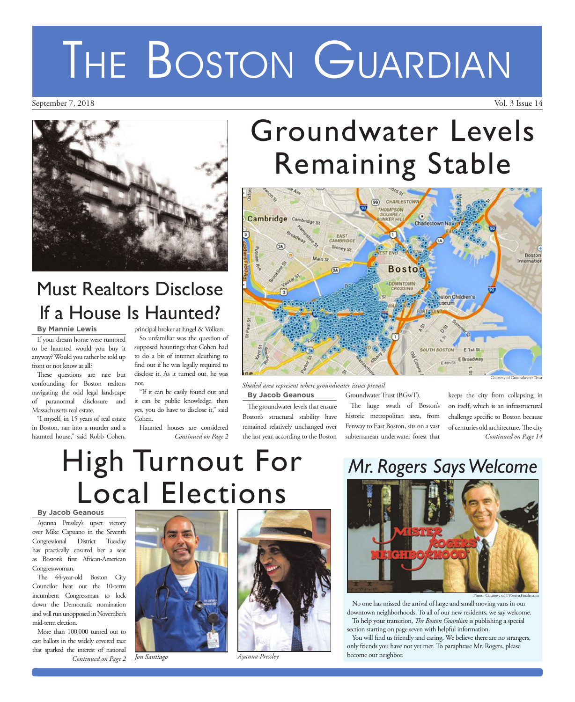## Groundwater Levels Remaining Stable



Courtesy of Groundwater Trust

**By Jacob Geanous** *Shaded area represent where groundwater issues prevail*

The groundwater levels that ensure Boston's structural stability have remained relatively unchanged over the last year, according to the Boston Groundwater Trust (BGwT).

The large swath of Boston's historic metropolitan area, from Fenway to East Boston, sits on a vast subterranean underwater forest that keeps the city from collapsing in on itself, which is an infrastructural challenge specific to Boston because of centuries old architecture. The city *Continued on Page 14*